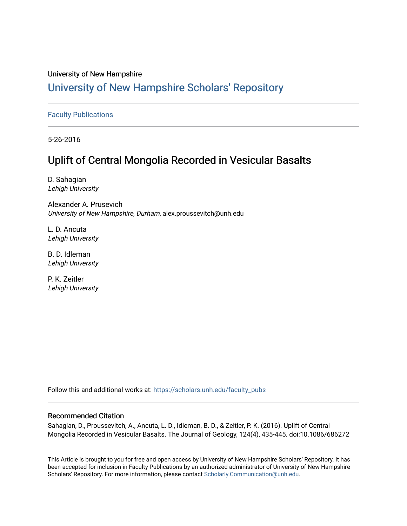## University of New Hampshire

## [University of New Hampshire Scholars' Repository](https://scholars.unh.edu/)

### [Faculty Publications](https://scholars.unh.edu/faculty_pubs)

5-26-2016

## Uplift of Central Mongolia Recorded in Vesicular Basalts

D. Sahagian Lehigh University

Alexander A. Prusevich University of New Hampshire, Durham, alex.proussevitch@unh.edu

L. D. Ancuta Lehigh University

B. D. Idleman Lehigh University

P. K. Zeitler Lehigh University

Follow this and additional works at: [https://scholars.unh.edu/faculty\\_pubs](https://scholars.unh.edu/faculty_pubs?utm_source=scholars.unh.edu%2Ffaculty_pubs%2F280&utm_medium=PDF&utm_campaign=PDFCoverPages) 

### Recommended Citation

Sahagian, D., Proussevitch, A., Ancuta, L. D., Idleman, B. D., & Zeitler, P. K. (2016). Uplift of Central Mongolia Recorded in Vesicular Basalts. The Journal of Geology, 124(4), 435-445. doi:10.1086/686272

This Article is brought to you for free and open access by University of New Hampshire Scholars' Repository. It has been accepted for inclusion in Faculty Publications by an authorized administrator of University of New Hampshire Scholars' Repository. For more information, please contact [Scholarly.Communication@unh.edu.](mailto:Scholarly.Communication@unh.edu)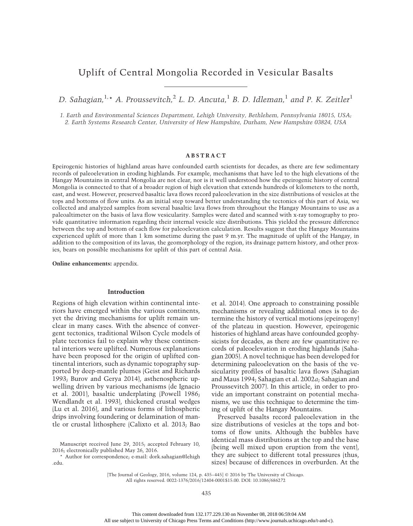## Uplift of Central Mongolia Recorded in Vesicular Basalts

D. Sahagian,<sup>1,\*</sup> A. Proussevitch,<sup>2</sup> L. D. Ancuta,<sup>1</sup> B. D. Idleman,<sup>1</sup> and P. K. Zeitler<sup>1</sup>

1. Earth and Environmental Sciences Department, Lehigh University, Bethlehem, Pennsylvania 18015, USA; 2. Earth Systems Research Center, University of Hew Hampshire, Durham, New Hampshire 03824, USA

#### ABSTRACT

Epeirogenic histories of highland areas have confounded earth scientists for decades, as there are few sedimentary records of paleoelevation in eroding highlands. For example, mechanisms that have led to the high elevations of the Hangay Mountains in central Mongolia are not clear, nor is it well understood how the epeirogenic history of central Mongolia is connected to that of a broader region of high elevation that extends hundreds of kilometers to the north, east, and west. However, preserved basaltic lava flows record paleoelevation in the size distributions of vesicles at the tops and bottoms of flow units. As an initial step toward better understanding the tectonics of this part of Asia, we collected and analyzed samples from several basaltic lava flows from throughout the Hangay Mountains to use as a paleoaltimeter on the basis of lava flow vesicularity. Samples were dated and scanned with x-ray tomography to provide quantitative information regarding their internal vesicle size distributions. This yielded the pressure difference between the top and bottom of each flow for paleoelevation calculation. Results suggest that the Hangay Mountains experienced uplift of more than 1 km sometime during the past 9 m.yr. The magnitude of uplift of the Hangay, in addition to the composition of its lavas, the geomorphology of the region, its drainage pattern history, and other proxies, bears on possible mechanisms for uplift of this part of central Asia.

Online enhancements: appendix.

#### Introduction

Regions of high elevation within continental interiors have emerged within the various continents, yet the driving mechanisms for uplift remain unclear in many cases. With the absence of convergent tectonics, traditional Wilson Cycle models of plate tectonics fail to explain why these continental interiors were uplifted. Numerous explanations have been proposed for the origin of uplifted continental interiors, such as dynamic topography supported by deep-mantle plumes (Geist and Richards 1993; Burov and Gerya 2014), asthenospheric upwelling driven by various mechanisms (de Ignacio et al. 2001), basaltic underplating (Powell 1986; Wendlandt et al. 1993), thickened crustal wedges (Lu et al. 2016), and various forms of lithospheric drips involving foundering or delamination of mantle or crustal lithosphere (Calixto et al. 2013; Bao

Manuscript received June 29, 2015; accepted February 10, 2016; electronically published May 26, 2016.

\* Author for correspondence; e-mail: dork.sahagian@lehigh .edu.

et al. 2014). One approach to constraining possible mechanisms or revealing additional ones is to determine the history of vertical motions (epeirogeny) of the plateau in question. However, epeirogenic histories of highland areas have confounded geophysicists for decades, as there are few quantitative records of paleoelevation in eroding highlands (Sahagian 2005). A novel technique has been developed for determining paleoelevation on the basis of the vesicularity profiles of basaltic lava flows (Sahagian and Maus 1994; Sahagian et al. 2002a; Sahagian and Proussevitch 2007). In this article, in order to provide an important constraint on potential mechanisms, we use this technique to determine the timing of uplift of the Hangay Mountains.

Preserved basalts record paleoelevation in the size distributions of vesicles at the tops and bottoms of flow units. Although the bubbles have identical mass distributions at the top and the base (being well mixed upon eruption from the vent), they are subject to different total pressures (thus, sizes) because of differences in overburden. At the

[The Journal of Geology, 2016, volume 124, p. 435-445] @ 2016 by The University of Chicago. All rights reserved. 0022-1376/2016/12404-0001\$15.00. DOI: 10.1086/686272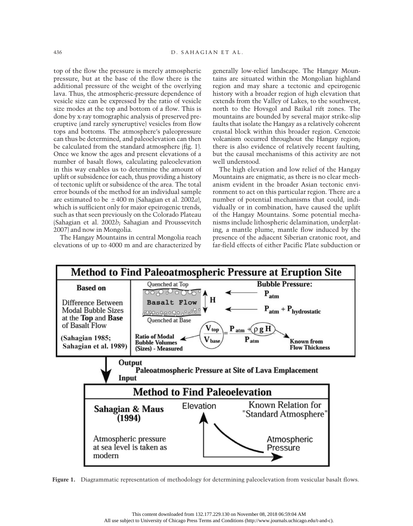top of the flow the pressure is merely atmospheric pressure, but at the base of the flow there is the additional pressure of the weight of the overlying lava. Thus, the atmospheric-pressure dependence of vesicle size can be expressed by the ratio of vesicle size modes at the top and bottom of a flow. This is done by x-ray tomographic analysis of preserved preeruptive (and rarely syneruptive) vesicles from flow tops and bottoms. The atmosphere's paleopressure can thus be determined, and paleoelevation can then be calculated from the standard atmosphere (fig. 1). Once we know the ages and present elevations of a number of basalt flows, calculating paleoelevation in this way enables us to determine the amount of uplift or subsidence for each, thus providing a history of tectonic uplift or subsidence of the area. The total error bounds of the method for an individual sample are estimated to be  $\pm 400$  m (Sahagian et al. 2002a), which is sufficient only for major epeirogenic trends, such as that seen previously on the Colorado Plateau (Sahagian et al. 2002b; Sahagian and Proussevitch 2007) and now in Mongolia.

The Hangay Mountains in central Mongolia reach elevations of up to 4000 m and are characterized by

generally low-relief landscape. The Hangay Mountains are situated within the Mongolian highland region and may share a tectonic and epeirogenic history with a broader region of high elevation that extends from the Valley of Lakes, to the southwest, north to the Hovsgol and Baikal rift zones. The mountains are bounded by several major strike-slip faults that isolate the Hangay as a relatively coherent crustal block within this broader region. Cenozoic volcanism occurred throughout the Hangay region; there is also evidence of relatively recent faulting, but the causal mechanisms of this activity are not well understood.

The high elevation and low relief of the Hangay Mountains are enigmatic, as there is no clear mechanism evident in the broader Asian tectonic environment to act on this particular region. There are a number of potential mechanisms that could, individually or in combination, have caused the uplift of the Hangay Mountains. Some potential mechanisms include lithospheric delamination, underplating, a mantle plume, mantle flow induced by the presence of the adjacent Siberian cratonic root, and far-field effects of either Pacific Plate subduction or



Figure 1. Diagrammatic representation of methodology for determining paleoelevation from vesicular basalt flows.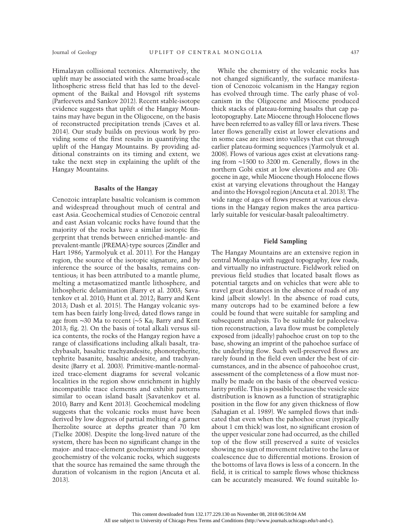Himalayan collisional tectonics. Alternatively, the uplift may be associated with the same broad-scale lithospheric stress field that has led to the development of the Baikal and Hovsgol rift systems (Parfeevets and Sankov 2012). Recent stable-isotope evidence suggests that uplift of the Hangay Mountains may have begun in the Oligocene, on the basis of reconstructed precipitation trends (Caves et al. 2014). Our study builds on previous work by providing some of the first results in quantifying the uplift of the Hangay Mountains. By providing additional constraints on its timing and extent, we take the next step in explaining the uplift of the Hangay Mountains.

#### Basalts of the Hangay

Cenozoic intraplate basaltic volcanism is common and widespread throughout much of central and east Asia. Geochemical studies of Cenozoic central and east Asian volcanic rocks have found that the majority of the rocks have a similar isotopic fingerprint that trends between enriched-mantle- and prevalent-mantle (PREMA)-type sources (Zindler and Hart 1986; Yarmolyuk et al. 2011). For the Hangay region, the source of the isotopic signature, and by inference the source of the basalts, remains contentious; it has been attributed to a mantle plume, melting a metasomatized mantle lithosphere, and lithospheric delamination (Barry et al. 2003; Savatenkov et al. 2010; Hunt et al. 2012; Barry and Kent 2013; Dash et al. 2015). The Hangay volcanic system has been fairly long-lived; dated flows range in age from ∼30 Ma to recent (∼5 Ka; Barry and Kent 2013; fig. 2). On the basis of total alkali versus silica contents, the rocks of the Hangay region have a range of classifications including alkali basalt, trachybasalt, basaltic trachyandesite, phonotepherite, tephrite basanite, basaltic andesite, and trachyandesite (Barry et al. 2003). Primitive-mantle-normalized trace-element diagrams for several volcanic localities in the region show enrichment in highly incompatible trace elements and exhibit patterns similar to ocean island basalt (Savatenkov et al. 2010; Barry and Kent 2013). Geochemical modeling suggests that the volcanic rocks must have been derived by low degrees of partial melting of a garnet lherzolite source at depths greater than 70 km (Tielke 2008). Despite the long-lived nature of the system, there has been no significant change in the major- and trace-element geochemistry and isotope geochemistry of the volcanic rocks, which suggests that the source has remained the same through the duration of volcanism in the region (Ancuta et al. 2013).

While the chemistry of the volcanic rocks has not changed significantly, the surface manifestation of Cenozoic volcanism in the Hangay region has evolved through time. The early phase of volcanism in the Oligocene and Miocene produced thick stacks of plateau-forming basalts that cap paleotopography. Late Miocene through Holocene flows have been referred to as valley fill or lava rivers. These later flows generally exist at lower elevations and in some case are inset into valleys that cut through earlier plateau-forming sequences (Yarmolyuk et al. 2008). Flows of various ages exist at elevations ranging from <sup>∼</sup>1500 to 3200 m. Generally, flows in the northern Gobi exist at low elevations and are Oligocene in age, while Miocene though Holocene flows exist at varying elevations throughout the Hangay and into the Hovsgol region (Ancuta et al. 2013). The wide range of ages of flows present at various elevations in the Hangay region makes the area particularly suitable for vesicular-basalt paleoaltimetry.

#### Field Sampling

The Hangay Mountains are an extensive region in central Mongolia with rugged topography, few roads, and virtually no infrastructure. Fieldwork relied on previous field studies that located basalt flows as potential targets and on vehicles that were able to travel great distances in the absence of roads of any kind (albeit slowly). In the absence of road cuts, many outcrops had to be examined before a few could be found that were suitable for sampling and subsequent analysis. To be suitable for paleoelevation reconstruction, a lava flow must be completely exposed from (ideally) pahoehoe crust on top to the base, showing an imprint of the pahoehoe surface of the underlying flow. Such well-preserved flows are rarely found in the field even under the best of circumstances, and in the absence of pahoeohoe crust, assessment of the completeness of a flow must normally be made on the basis of the observed vesicularity profile. This is possible because the vesicle size distribution is known as a function of stratigraphic position in the flow for any given thickness of flow (Sahagian et al. 1989). We sampled flows that indicated that even when the pahoehoe crust (typically about 1 cm thick) was lost, no significant erosion of the upper vesicular zone had occurred, as the chilled top of the flow still preserved a suite of vesicles showing no sign of movement relative to the lava or coalescence due to differential motions. Erosion of the bottoms of lava flows is less of a concern. In the field, it is critical to sample flows whose thickness can be accurately measured. We found suitable lo-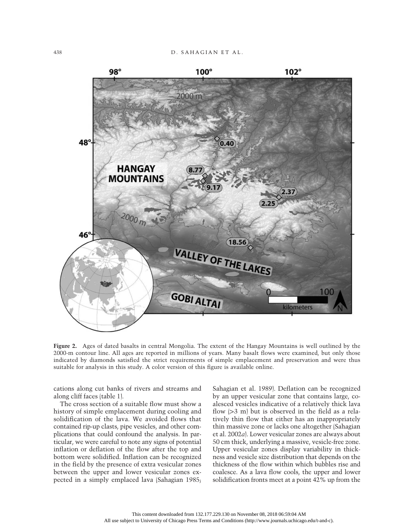

Figure 2. Ages of dated basalts in central Mongolia. The extent of the Hangay Mountains is well outlined by the 2000-m contour line. All ages are reported in millions of years. Many basalt flows were examined, but only those indicated by diamonds satisfied the strict requirements of simple emplacement and preservation and were thus suitable for analysis in this study. A color version of this figure is available online.

cations along cut banks of rivers and streams and along cliff faces (table 1).

The cross section of a suitable flow must show a history of simple emplacement during cooling and solidification of the lava. We avoided flows that contained rip-up clasts, pipe vesicles, and other complications that could confound the analysis. In particular, we were careful to note any signs of potential inflation or deflation of the flow after the top and bottom were solidified. Inflation can be recognized in the field by the presence of extra vesicular zones between the upper and lower vesicular zones expected in a simply emplaced lava (Sahagian 1985;

Sahagian et al. 1989). Deflation can be recognized by an upper vesicular zone that contains large, coalesced vesicles indicative of a relatively thick lava flow  $|3 \text{ m}|$  but is observed in the field as a relatively thin flow that either has an inappropriately thin massive zone or lacks one altogether (Sahagian et al. 2002a). Lower vesicular zones are always about 50 cm thick, underlying a massive, vesicle-free zone. Upper vesicular zones display variability in thickness and vesicle size distribution that depends on the thickness of the flow within which bubbles rise and coalesce. As a lava flow cools, the upper and lower solidification fronts meet at a point 42% up from the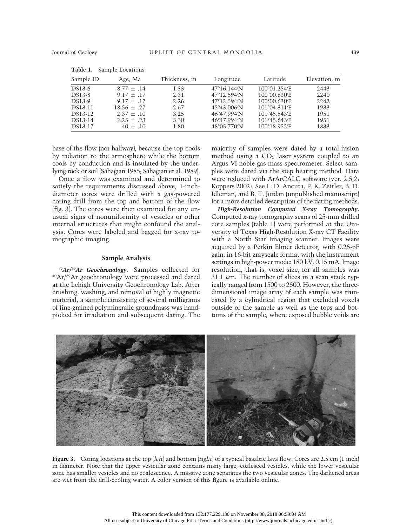| Sample ID | Age, Ma         | Thickness, m | Longitude                    | Latitude               | Elevation, m |
|-----------|-----------------|--------------|------------------------------|------------------------|--------------|
| DS13-6    | $8.77 \pm .14$  | 1.33         | $47^{\circ}16.144^{\prime}N$ | 100°01.254′E           | 2443         |
| DS13-8    | $9.17 \pm .17$  | 2.31         | 47°12.594′N                  | 100°00.630′E           | 2240         |
| DS13-9    | $9.17 \pm .17$  | 2.26         | 47°12.594′N                  | 100°00.630′E           | 2242         |
| DS13-11   | $18.56 \pm .27$ | 2.67         | 45°43.006′N                  | $101^{\circ}04.311$ 'E | 1933         |
| DS13-12   | $2.37 \pm .10$  | 3.25         | 46°47.994′N                  | 101°45.643′E           | 1951         |
| DS13-14   | $2.25 \pm .23$  | 3.30         | 46°47.994′N                  | 101°45.643'E           | 1951         |
| DS13-17   | $.40 \pm .10$   | 1.80         | 48°05.770′N                  | 100°18.952′E           | 1833         |
|           |                 |              |                              |                        |              |

Table 1. Sample Locations

base of the flow (not halfway), because the top cools by radiation to the atmosphere while the bottom cools by conduction and is insulated by the underlying rock or soil (Sahagian 1985; Sahagian et al. 1989).

Once a flow was examined and determined to satisfy the requirements discussed above, 1-inchdiameter cores were drilled with a gas-powered coring drill from the top and bottom of the flow (fig. 3). The cores were then examined for any unusual signs of nonuniformity of vesicles or other internal structures that might confound the analysis. Cores were labeled and bagged for x-ray tomographic imaging.

#### Sample Analysis

<sup>40</sup>Ar/<sup>39</sup>Ar Geochronology. Samples collected for 40Ar/39Ar geochronology were processed and dated at the Lehigh University Geochronology Lab. After crushing, washing, and removal of highly magnetic material, a sample consisting of several milligrams of fine-grained polymineralic groundmass was handpicked for irradiation and subsequent dating. The

majority of samples were dated by a total-fusion method using a  $CO<sub>2</sub>$  laser system coupled to an Argus VI noble-gas mass spectrometer. Select samples were dated via the step heating method. Data were reduced with ArArCALC software (ver. 2.5.2; Koppers 2002). See L. D. Ancuta, P. K. Zeitler, B. D. Idleman, and B. T. Jordan (unpublished manuscript) for a more detailed description of the dating methods.

High-Resolution Computed X-ray Tomography. Computed x-ray tomography scans of 25-mm drilled core samples (table 1) were performed at the University of Texas High-Resolution X-ray CT Facility with a North Star Imaging scanner. Images were acquired by a Perkin Elmer detector, with 0.25-pF gain, in 16-bit grayscale format with the instrument settings in high-power mode: 180 kV, 0.15 mA. Image resolution, that is, voxel size, for all samples was 31.1  $\mu$ m. The number of slices in a scan stack typically ranged from 1500 to 2500. However, the threedimensional image array of each sample was truncated by a cylindrical region that excluded voxels outside of the sample as well as the tops and bottoms of the sample, where exposed bubble voids are



Figure 3. Coring locations at the top (left) and bottom (right) of a typical basaltic lava flow. Cores are 2.5 cm (1 inch) in diameter. Note that the upper vesicular zone contains many large, coalesced vesicles, while the lower vesicular zone has smaller vesicles and no coalescence. A massive zone separates the two vesicular zones. The darkened areas are wet from the drill-cooling water. A color version of this figure is available online.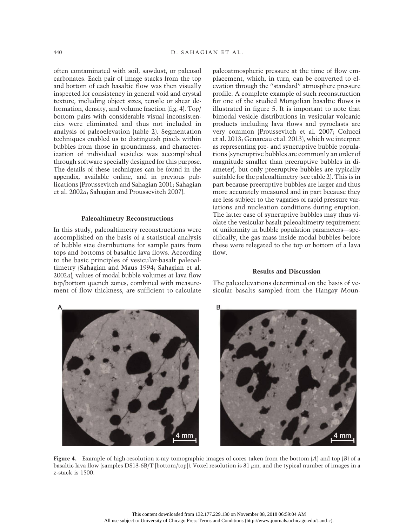often contaminated with soil, sawdust, or paleosol carbonates. Each pair of image stacks from the top and bottom of each basaltic flow was then visually inspected for consistency in general void and crystal texture, including object sizes, tensile or shear deformation, density, and volume fraction (fig. 4). Top/ bottom pairs with considerable visual inconsistencies were eliminated and thus not included in analysis of paleoelevation (table 2). Segmentation techniques enabled us to distinguish pixels within bubbles from those in groundmass, and characterization of individual vesicles was accomplished through software specially designed for this purpose. The details of these techniques can be found in the appendix, available online, and in previous publications (Proussevitch and Sahagian 2001; Sahagian et al. 2002a; Sahagian and Proussevitch 2007).

#### Paleoaltimetry Reconstructions

In this study, paleoaltimetry reconstructions were accomplished on the basis of a statistical analysis of bubble size distributions for sample pairs from tops and bottoms of basaltic lava flows. According to the basic principles of vesicular-basalt paleoaltimetry (Sahagian and Maus 1994; Sahagian et al. 2002a), values of modal bubble volumes at lava flow top/bottom quench zones, combined with measurement of flow thickness, are sufficient to calculate paleoatmospheric pressure at the time of flow emplacement, which, in turn, can be converted to elevation through the "standard" atmosphere pressure profile. A complete example of such reconstruction for one of the studied Mongolian basaltic flows is illustrated in figure 5. It is important to note that bimodal vesicle distributions in vesicular volcanic products including lava flows and pyroclasts are very common (Proussevitch et al. 2007; Colucci et al. 2013; Genareau et al. 2013), which we interpret as representing pre- and syneruptive bubble populations (syneruptive bubbles are commonly an order of magnitude smaller than preeruptive bubbles in diameter), but only preeruptive bubbles are typically suitable for the paleoaltimetry (see table 2). This is in part because preeruptive bubbles are larger and thus more accurately measured and in part because they are less subject to the vagaries of rapid pressure variations and nucleation conditions during eruption. The latter case of syneruptive bubbles may thus violate the vesicular-basalt paleoaltimetry requirement of uniformity in bubble population parameters—specifically, the gas mass inside modal bubbles before these were relegated to the top or bottom of a lava flow.

#### Results and Discussion

The paleoelevations determined on the basis of vesicular basalts sampled from the Hangay Moun-

4 mm

Figure 4. Example of high-resolution x-ray tomographic images of cores taken from the bottom  $(A)$  and top  $(B)$  of a basaltic lava flow (samples DS13-6B/T [bottom/top]). Voxel resolution is 31  $\mu$ m, and the typical number of images in a z-stack is 1500.

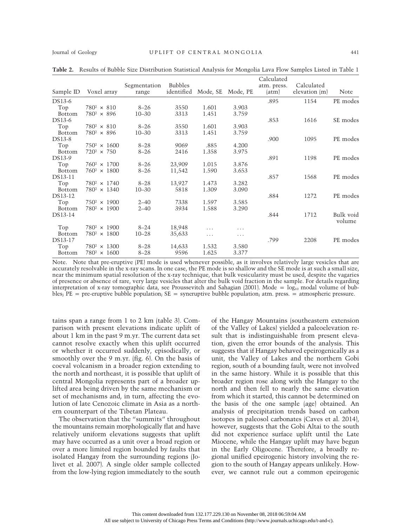|               |                     |              |                |          |          | Calculated  |               |                     |
|---------------|---------------------|--------------|----------------|----------|----------|-------------|---------------|---------------------|
|               |                     | Segmentation | <b>Bubbles</b> |          |          | atm. press. | Calculated    |                     |
| Sample ID     | Voxel array         | range        | identified     | Mode, SE | Mode, PE | (atm)       | elevation (m) | Note                |
| DS13-6        |                     |              |                |          |          | .895        | 1154          | PE modes            |
| Top           | $780^2 \times 810$  | $8 - 26$     | 3550           | 1.601    | 3.903    |             |               |                     |
| <b>Bottom</b> | $780^2 \times 896$  | $10 - 30$    | 3313           | 1.451    | 3.759    |             |               |                     |
| DS13-6        |                     |              |                |          |          | .853        | 1616          | SE modes            |
| Top           | $780^2 \times 810$  | $8 - 26$     | 3550           | 1.601    | 3.903    |             |               |                     |
| <b>Bottom</b> | $780^2 \times 896$  | $10 - 30$    | 3313           | 1.451    | 3.759    |             |               |                     |
| DS13-8        |                     |              |                |          |          | .900        | 1095          | PE modes            |
| Top           | $750^2 \times 1600$ | $8 - 28$     | 9069           | .885     | 4.200    |             |               |                     |
| Bottom        | $720^2 \times 750$  | $8 - 26$     | 2416           | 1.358    | 3.975    |             |               |                     |
| DS13-9        |                     |              |                |          |          | .891        | 1198          | PE modes            |
| Top           | $760^2 \times 1700$ | $8 - 26$     | 23,909         | 1.015    | 3.876    |             |               |                     |
| <b>Bottom</b> | $760^2 \times 1800$ | $8 - 26$     | 11,542         | 1.590    | 3.653    |             |               |                     |
| DS13-11       |                     |              |                |          |          | .857        | 1568          | PE modes            |
| Top           | $780^2 \times 1740$ | $8 - 28$     | 13,927         | 1.473    | 3.282    |             |               |                     |
| <b>Bottom</b> | $780^2 \times 1340$ | $10 - 30$    | 5818           | 1.309    | 3.090    |             |               |                     |
| DS13-12       |                     |              |                |          |          | .884        | 1272          | PE modes            |
| Top           | $750^2 \times 1900$ | $2 - 40$     | 7338           | 1.597    | 3.585    |             |               |                     |
| <b>Bottom</b> | $780^2 \times 1900$ | $2 - 40$     | 3934           | 1.588    | 3.290    |             |               |                     |
| DS13-14       |                     |              |                |          |          | .844        | 1712          | Bulk void<br>volume |
| Top           | $780^2 \times 1900$ | $8 - 24$     | 18,948         | .        | .        |             |               |                     |
| <b>Bottom</b> | $780^2 \times 1800$ | $10 - 28$    | 35,633         | .        | .        |             |               |                     |
| DS13-17       |                     |              |                |          |          | .799        | 2208          | PE modes            |
| Top           | $780^2 \times 1300$ | $8 - 28$     | 14,633         | 1.532    | 3.580    |             |               |                     |
| <b>Bottom</b> | $780^2 \times 1600$ | $8 - 28$     | 9596           | 1.625    | 3.377    |             |               |                     |

Table 2. Results of Bubble Size Distribution Statistical Analysis for Mongolia Lava Flow Samples Listed in Table 1

Note. Note that pre-eruptive (PE) mode is used whenever possible, as it involves relatively large vesicles that are accurately resolvable in the x-ray scans. In one case, the PE mode is so shallow and the SE mode is at such a small size, near the minimum spatial resolution of the x-ray technique, that bulk vesicularity must be used, despite the vagaries of presence or absence of rare, very large vesicles that alter the bulk void fraction in the sample. For details regarding interpretation of x-ray tomographic data, see Proussevitch and Sahagian (2001). Mode =  $\log_{10}$  modal volume of bubbles; PE = pre-eruptive bubble population; SE = syneruptive bubble population; atm. press. = atmospheric pressure.

tains span a range from 1 to 2 km (table 3). Comparison with present elevations indicate uplift of about 1 km in the past 9 m.yr. The current data set cannot resolve exactly when this uplift occurred or whether it occurred suddenly, episodically, or smoothly over the 9 m.yr. (fig. 6). On the basis of coeval volcanism in a broader region extending to the north and northeast, it is possible that uplift of central Mongolia represents part of a broader uplifted area being driven by the same mechanism or set of mechanisms and, in turn, affecting the evolution of late Cenozoic climate in Asia as a northern counterpart of the Tibetan Plateau.

The observation that the "summits" throughout the mountains remain morphologically flat and have relatively uniform elevations suggests that uplift may have occurred as a unit over a broad region or over a more limited region bounded by faults that isolated Hangay from the surrounding regions (Jolivet et al. 2007). A single older sample collected from the low-lying region immediately to the south

of the Hangay Mountains (southeastern extension of the Valley of Lakes) yielded a paleoelevation result that is indistinguishable from present elevation, given the error bounds of the analysis. This suggests that if Hangay behaved epeirogenically as a unit, the Valley of Lakes and the northern Gobi region, south of a bounding fault, were not involved in the same history. While it is possible that this broader region rose along with the Hangay to the north and then fell to nearly the same elevation from which it started, this cannot be determined on the basis of the one sample (age) obtained. An analysis of precipitation trends based on carbon isotopes in paleosol carbonates (Caves et al. 2014), however, suggests that the Gobi Altai to the south did not experience surface uplift until the Late Miocene, while the Hangay uplift may have begun in the Early Oligocene. Therefore, a broadly regional unified epeirogenic history involving the region to the south of Hangay appears unlikely. However, we cannot rule out a common epeirogenic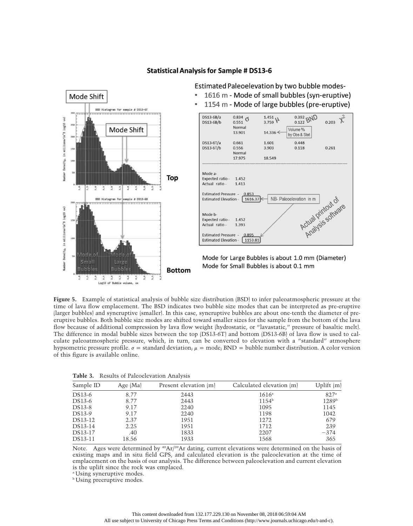

### **Statistical Analysis for Sample # DS13-6**

Estimated Paleoelevation by two bubble modes-

Figure 5. Example of statistical analysis of bubble size distribution (BSD) to infer paleoatmospheric pressure at the time of lava flow emplacement. The BSD indicates two bubble size modes that can be interpreted as pre-eruptive (larger bubbles) and syneruptive (smaller). In this case, syneruptive bubbles are about one-tenth the diameter of preeruptive bubbles. Both bubble size modes are shifted toward smaller sizes for the sample from the bottom of the lava flow because of additional compression by lava flow weight (hydrostatic, or "lavastatic," pressure of basaltic melt). The difference in modal bubble sizes between the top (DS13-6T) and bottom (DS13-6B) of lava flow is used to calculate paleoatmospheric pressure, which, in turn, can be converted to elevation with a "standard" atmosphere hypsometric pressure profile.  $\sigma$  = standard deviation;  $\mu$  = mode; BND = bubble number distribution. A color version of this figure is available online.

| Table 3. Results of Paleoelevation Analysis |  |
|---------------------------------------------|--|
|---------------------------------------------|--|

| Sample ID | Age $(Ma)$ | Present elevation (m) | Calculated elevation (m) | Uplift (m)        |
|-----------|------------|-----------------------|--------------------------|-------------------|
| DS13-6    | 8.77       | 2443                  | $1616^{\circ}$           | 827 <sup>a</sup>  |
| DS13-6    | 8.77       | 2443                  | $1154^{\rm b}$           | 1289 <sup>b</sup> |
| DS13-8    | 9.17       | 2240                  | 1095                     | 1145              |
| DS13-9    | 9.17       | 2240                  | 1198                     | 1042              |
| DS13-12   | 2.37       | 1951                  | 1272                     | 679               |
| DS13-14   | 2.25       | 1951                  | 1712                     | 239               |
| DS13-17   | .40        | 1833                  | 2207                     | $-374$            |
| DS13-11   | 18.56      | 1933                  | 1568                     | 365               |

Note. Ages were determined by  ${}^{40}\text{Ar}/{}^{39}\text{Ar}$  dating, current elevations were determined on the basis of existing maps and in situ field GPS, and calculated elevation is the paleoelevation at the time of emplacement on the basis of our analysis. The difference between paleoelevation and current elevation is the uplift since the rock was emplaced.

<sup>a</sup> Using syneruptive modes.

**b** Using preeruptive modes.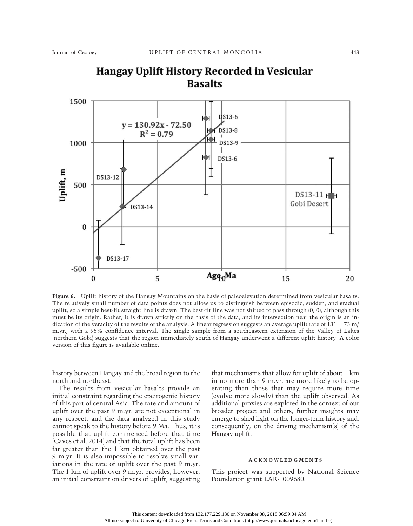

# Hangay Uplift History Recorded in Vesicular **Basalts**

Figure 6. Uplift history of the Hangay Mountains on the basis of paleoelevation determined from vesicular basalts. The relatively small number of data points does not allow us to distinguish between episodic, sudden, and gradual uplift, so a simple best-fit straight line is drawn. The best-fit line was not shifted to pass through (0, 0), although this must be its origin. Rather, it is drawn strictly on the basis of the data, and its intersection near the origin is an indication of the veracity of the results of the analysis. A linear regression suggests an average uplift rate of  $131 \pm 73$  m/ m.yr., with a 95% confidence interval. The single sample from a southeastern extension of the Valley of Lakes (northern Gobi) suggests that the region immediately south of Hangay underwent a different uplift history. A color version of this figure is available online.

history between Hangay and the broad region to the north and northeast.

The results from vesicular basalts provide an initial constraint regarding the epeirogenic history of this part of central Asia. The rate and amount of uplift over the past 9 m.yr. are not exceptional in any respect, and the data analyzed in this study cannot speak to the history before 9 Ma. Thus, it is possible that uplift commenced before that time (Caves et al. 2014) and that the total uplift has been far greater than the 1 km obtained over the past 9 m.yr. It is also impossible to resolve small variations in the rate of uplift over the past 9 m.yr. The 1 km of uplift over 9 m.yr. provides, however, an initial constraint on drivers of uplift, suggesting

that mechanisms that allow for uplift of about 1 km in no more than 9 m.yr. are more likely to be operating than those that may require more time (evolve more slowly) than the uplift observed. As additional proxies are explored in the context of our broader project and others, further insights may emerge to shed light on the longer-term history and, consequently, on the driving mechanism(s) of the Hangay uplift.

#### ACKNOWLEDGMENTS

This project was supported by National Science Foundation grant EAR-1009680.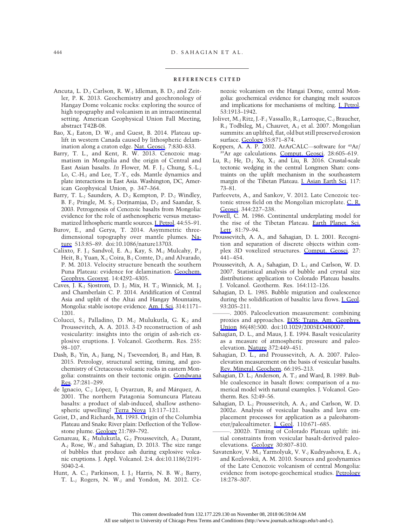#### REFERENCES CITED

- Ancuta, L. D.; Carlson, R. W.; Idleman, B. D.; and Zeitler, P. K. 2013. Geochemistry and geochronology of Hangay Dome volcanic rocks: exploring the source of high topography and volcanism in an intracontinental setting. American Geophysical Union Fall Meeting, abstract T42B-08.
- Bao, X.; Eaton, D. W.; and Guest, B. 2014. Plateau uplift in western Canada caused by lithospheric delamination along a craton edge. [Nat. Geosci](https://www.journals.uchicago.edu/action/showLinks?doi=10.1086%2F686272&crossref=10.1038%2Fngeo2270&citationId=p_2). 7:830–833.
- Barry, T. L., and Kent, R. W. 2013. Cenozoic magmatism in Mongolia and the origin of Central and East Asian basalts. In Flower, M. F. J.; Chung, S.-L.; Lo, C.-H.; and Lee, T.-Y., eds. Mantle dynamics and plate interactions in East Asia. Washington, DC, American Geophysical Union, p. 347–364.
- Barry, T. L.; Saunders, A. D.; Kempton, P. D.; Windley, B. F.; Pringle, M. S.; Dorjnamjaa, D.; and Saandar, S. 2003. Petrogenesis of Cenozoic basalts from Mongolia: evidence for the role of asthenospheric versus metasomatized lithospheric mantle sources. [J. Petrol.](https://www.journals.uchicago.edu/action/showLinks?doi=10.1086%2F686272&crossref=10.1093%2Fpetrology%2F44.1.55&citationId=p_5) 44:55–91.
- Burov, E., and Gerya, T. 2014. Asymmetric threedimensional topography over mantle plumes. [Na](https://www.journals.uchicago.edu/action/showLinks?doi=10.1086%2F686272&crossref=10.1038%2Fnature13703&citationId=p_6)[ture](https://www.journals.uchicago.edu/action/showLinks?doi=10.1086%2F686272&crossref=10.1038%2Fnature13703&citationId=p_6) 513:85–89. doi:10.1086/nature13703.
- Calixto, F. J.; Sandvol, E. A.; Kay, S. M.; Mulcahy, P.; Heit, B.; Yuan, X.; Coira, B.; Comte, D.; and Alvarado, P. M. 2013. Velocity structure beneath the southern Puna Plateau: evidence for delamination. [Geochem.](https://www.journals.uchicago.edu/action/showLinks?doi=10.1086%2F686272&crossref=10.1002%2Fggge.20266&citationId=p_7) [Geophys. Geosyst.](https://www.journals.uchicago.edu/action/showLinks?doi=10.1086%2F686272&crossref=10.1002%2Fggge.20266&citationId=p_7) 14:4292–4305.
- Caves, J. K.; Sjostrom, D. J.; Mix, H. T.; Winnick, M. J.; and Chamberlain C. P. 2014. Aridification of Central Asia and uplift of the Altai and Hangay Mountains, Mongolia: stable isotope evidence. [Am. J. Sci.](https://www.journals.uchicago.edu/action/showLinks?doi=10.1086%2F686272&crossref=10.2475%2F08.2014.01&citationId=p_8) 314:1171– 1201.
- Colucci, S.; Palladino, D. M.; Mulukutla, G. K.; and Proussevitch, A. A. 2013. 3-D reconstruction of ash vesicularity: insights into the origin of ash-rich explosive eruptions. J. Volcanol. Geotherm. Res. 255: 98–107.
- Dash, B.; Yin, A.; Jiang, N.; Tseveendorj, B.; and Han, B. 2015. Petrology, structural setting, timing, and geochemistry of Cretaceous volcanic rocks in eastern Mongolia: constraints on their tectonic origin. [Gondwana](https://www.journals.uchicago.edu/action/showLinks?doi=10.1086%2F686272&crossref=10.1016%2Fj.gr.2013.10.001&citationId=p_11) [Res.](https://www.journals.uchicago.edu/action/showLinks?doi=10.1086%2F686272&crossref=10.1016%2Fj.gr.2013.10.001&citationId=p_11) 27:281–299.
- de Ignacio, C.; López, I; Oyarzun, R; and Márquez, A. 2001. The northern Patagonia Somuncura Plateau basalts: a product of slab-induced, shallow asthenospheric upwelling? [Terra Nova](https://www.journals.uchicago.edu/action/showLinks?doi=10.1086%2F686272&crossref=10.1046%2Fj.1365-3121.2001.00326.x&citationId=p_13) 13:117–121.
- Geist, D., and Richards, M. 1993. Origin of the Columbia Plateau and Snake River plain: Deflection of the Yellowstone plume. [Geology](https://www.journals.uchicago.edu/action/showLinks?doi=10.1086%2F686272&crossref=10.1130%2F0091-7613%281993%29021%3C0789%3AOOTCPA%3E2.3.CO%3B2&citationId=p_14) 21:789–792.
- Genareau, K.; Mulukutla, G.; Proussevitch, A.; Durant, A.; Rose, W.; and Sahagian, D. 2013. The size range of bubbles that produce ash during explosive volcanic eruptions. J. Appl. Volcanol. 2:4. doi:10.1186/2191- 5040-2-4.
- Hunt, A. C.; Parkinson, I. J.; Harris, N. B. W.; Barry, T. L.; Rogers, N. W.; and Yondon, M. 2012. Ce-

nozoic volcanism on the Hangai Dome, central Mongolia: geochemical evidence for changing melt sources and implications for mechanisms of melting. [J. Petrol.](https://www.journals.uchicago.edu/action/showLinks?doi=10.1086%2F686272&crossref=10.1093%2Fpetrology%2Fegs038&citationId=p_16) 53:1913–1942.

- Jolivet, M.; Ritz, J.-F.; Vassallo, R.; Larroque, C.; Braucher, R.; Todbileg, M.; Chauvet, A.; et al. 2007. Mongolian summits: an uplifted, flat, old but still preserved erosion surface. [Geology](https://www.journals.uchicago.edu/action/showLinks?doi=10.1086%2F686272&crossref=10.1130%2FG23758A.1&citationId=p_17) 35:871–874.
- Koppers, A. A. P. 2002. ArArCALC—software for  $40Ar/$ 39Ar age calculations. [Comput. Geosci.](https://www.journals.uchicago.edu/action/showLinks?doi=10.1086%2F686272&crossref=10.1016%2FS0098-3004%2801%2900095-4&citationId=p_18) 28:605–619.
- Lu, R.; He, D.; Xu, X.; and Liu, B. 2016. Crustal-scale tectonic wedging in the central Longmen Shan: constraints on the uplift mechanism in the southeastern margin of the Tibetan Plateau. [J. Asian Earth Sci.](https://www.journals.uchicago.edu/action/showLinks?doi=10.1086%2F686272&crossref=10.1016%2Fj.jseaes.2015.11.019&citationId=p_19) 117: 73–81.
- Parfeevets, A., and Sankov, V. 2012. Late Cenozoic tectonic stress field on the Mongolian microplate. [C. R.](https://www.journals.uchicago.edu/action/showLinks?doi=10.1086%2F686272&crossref=10.1016%2Fj.crte.2011.09.009&citationId=p_20) [Geosci](https://www.journals.uchicago.edu/action/showLinks?doi=10.1086%2F686272&crossref=10.1016%2Fj.crte.2011.09.009&citationId=p_20). 344:227–238.
- Powell, C. M. 1986. Continental underplating model for the rise of the Tibetan Plateau. [Earth Planet. Sci.](https://www.journals.uchicago.edu/action/showLinks?doi=10.1086%2F686272&crossref=10.1016%2F0012-821X%2886%2990102-0&citationId=p_21) [Lett.](https://www.journals.uchicago.edu/action/showLinks?doi=10.1086%2F686272&crossref=10.1016%2F0012-821X%2886%2990102-0&citationId=p_21) 81:79-94.
- Proussevitch, A. A., and Sahagian, D. L. 2001. Recognition and separation of discrete objects within complex 3D voxelized structures. [Comput. Geosci](https://www.journals.uchicago.edu/action/showLinks?doi=10.1086%2F686272&crossref=10.1016%2FS0098-3004%2800%2900141-2&citationId=p_22). 27: 441–454.
- Proussevitch, A. A.; Sahagian, D. L.; and Carlson, W. D. 2007. Statistical analysis of bubble and crystal size distributions: application to Colorado Plateau basalts. J. Volcanol. Geotherm. Res. 164:112–126.
- Sahagian, D. L. 1985. Bubble migration and coalescence during the solidification of basaltic lava flows. *J. Geol.* 93:205–211.
- ———. 2005. Paleoelevation measurement: combining proxies and approaches. [EOS: Trans. Am. Geophys.](https://www.journals.uchicago.edu/action/showLinks?doi=10.1086%2F686272&crossref=10.1029%2F2005EO480007&citationId=p_26) [Union](https://www.journals.uchicago.edu/action/showLinks?doi=10.1086%2F686272&crossref=10.1029%2F2005EO480007&citationId=p_26) 86(48):500. doi:10.1029/2005EO480007.
- Sahagian, D. L., and Maus, J. E. 1994. Basalt vesicularity as a measure of atmospheric pressure and paleoelevation. [Nature](https://www.journals.uchicago.edu/action/showLinks?doi=10.1086%2F686272&crossref=10.1038%2F372449a0&citationId=p_27) 372:449–451.
- Sahagian, D. L., and Proussevitch, A. A. 2007. Paleoelevation measurement on the basis of vesicular basalts. [Rev. Mineral. Geochem](https://www.journals.uchicago.edu/action/showLinks?doi=10.1086%2F686272&crossref=10.2138%2Frmg.2007.66.8&citationId=p_28). 66:195–213.
- Sahagian, D. L.; Anderson, A. T.; and Ward, B. 1989. Bubble coalescence in basalt flows: comparison of a numerical model with natural examples. J. Volcanol. Geotherm. Res. 52:49–56.
- Sahagian, D. L.; Proussevitch, A. A.; and Carlson, W. D. 2002a. Analysis of vesicular basalts and lava emplacement processes for application as a paleobarometer/paleoaltimeter. [J. Geol.](https://www.journals.uchicago.edu/action/showLinks?doi=10.1086%2F686272&system=10.1086%2F342627&citationId=p_31) 110:671–685.
- . 2002b. Timing of Colorado Plateau uplift: initial constraints from vesicular basalt-derived paleoelevations. [Geology](https://www.journals.uchicago.edu/action/showLinks?doi=10.1086%2F686272&crossref=10.1130%2F0091-7613%282002%29030%3C0807%3ATOCPUI%3E2.0.CO%3B2&citationId=p_32) 30:807–810.
- Savatenkov, V. M.; Yarmolyuk, V. V.; Kudryashova, E. A.; and Kozlovskii, A. M. 2010. Sources and geodynamics of the Late Cenozoic volcanism of central Mongolia: evidence from isotope-geochemical studies. [Petrology](https://www.journals.uchicago.edu/action/showLinks?doi=10.1086%2F686272&crossref=10.1134%2FS0869591110030057&citationId=p_33) 18:278–307.